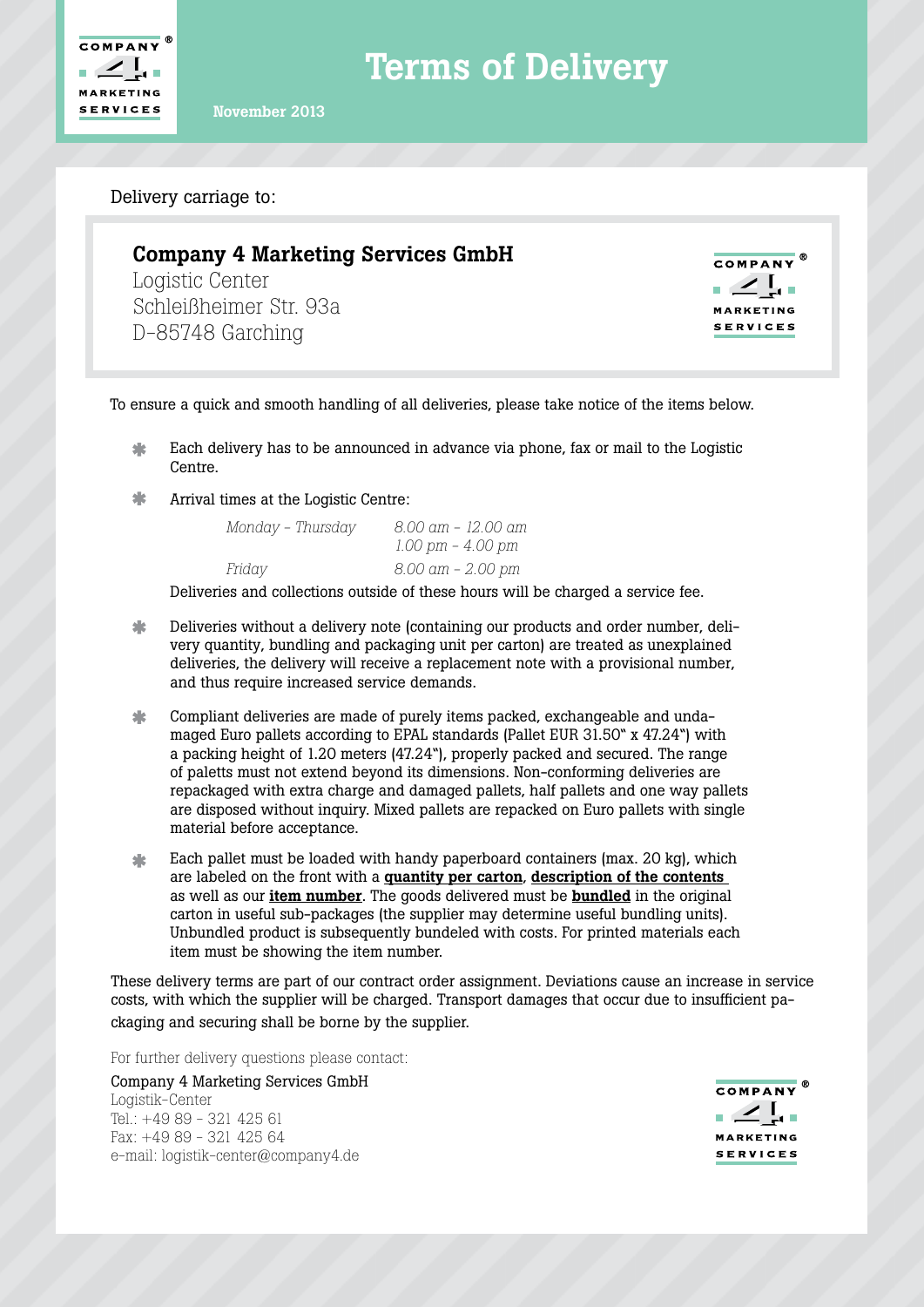

Terms of Delivery

November 2013

Delivery carriage to:

## Company 4 Marketing Services GmbH

Logistic Center Schleißheimer Str. 93a D-85748 Garching

**COMPANY**<sup>®</sup> **MARKETING SERVICES** 

To ensure a quick and smooth handling of all deliveries, please take notice of the items below.

- 坐 Each delivery has to be announced in advance via phone, fax or mail to the Logistic Centre.
- $\ast$ Arrival times at the Logistic Centre:

| Monday – Thursday | 8.00 am – 12.00 am |
|-------------------|--------------------|
|                   | 1.00 pm - 4.00 pm  |
| Friday            | 8.00 am – 2.00 pm  |

Deliveries and collections outside of these hours will be charged a service fee.

- 米 Deliveries without a delivery note (containing our products and order number, delivery quantity, bundling and packaging unit per carton) are treated as unexplained deliveries, the delivery will receive a replacement note with a provisional number, and thus require increased service demands.
- $\ast$ Compliant deliveries are made of purely items packed, exchangeable and undamaged Euro pallets according to EPAL standards (Pallet EUR 31.50" x 47.24") with a packing height of 1.20 meters (47.24"), properly packed and secured. The range of paletts must not extend beyond its dimensions. Non-conforming deliveries are repackaged with extra charge and damaged pallets, half pallets and one way pallets are disposed without inquiry. Mixed pallets are repacked on Euro pallets with single material before acceptance.
- Each pallet must be loaded with handy paperboard containers (max. 20 kg), which 业 are labeled on the front with a quantity per carton, description of the contents as well as our item number. The goods delivered must be bundled in the original carton in useful sub-packages (the supplier may determine useful bundling units). Unbundled product is subsequently bundeled with costs. For printed materials each item must be showing the item number.

These delivery terms are part of our contract order assignment. Deviations cause an increase in service costs, with which the supplier will be charged. Transport damages that occur due to insufficient packaging and securing shall be borne by the supplier.

For further delivery questions please contact:

Company 4 Marketing Services GmbH Logistik-Center Tel.: +49 89 - 321 425 61 Fax: +49 89 - 321 425 64 e-mail: logistik-center@company4.de